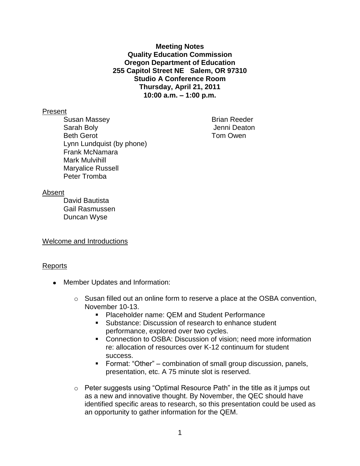**Meeting Notes Quality Education Commission Oregon Department of Education 255 Capitol Street NE Salem, OR 97310 Studio A Conference Room Thursday, April 21, 2011 10:00 a.m. – 1:00 p.m.**

#### Present

Susan Massey **Brian Reeder** Sarah Boly Jenni Deaton Beth Gerot **Tom Owen** Lynn Lundquist (by phone) Frank McNamara Mark Mulvihill Maryalice Russell Peter Tromba

## Absent

David Bautista Gail Rasmussen Duncan Wyse

Welcome and Introductions

## Reports

- Member Updates and Information:
	- $\circ$  Susan filled out an online form to reserve a place at the OSBA convention, November 10-13.
		- Placeholder name: QEM and Student Performance
		- **Substance: Discussion of research to enhance student** performance, explored over two cycles.
		- Connection to OSBA: Discussion of vision; need more information re: allocation of resources over K-12 continuum for student success.
		- Format: "Other" combination of small group discussion, panels, presentation, etc. A 75 minute slot is reserved.
	- o Peter suggests using "Optimal Resource Path" in the title as it jumps out as a new and innovative thought. By November, the QEC should have identified specific areas to research, so this presentation could be used as an opportunity to gather information for the QEM.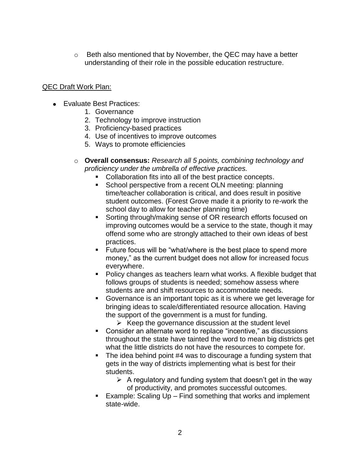$\circ$  Beth also mentioned that by November, the QEC may have a better understanding of their role in the possible education restructure.

## QEC Draft Work Plan:

- Evaluate Best Practices:
	- 1. Governance
	- 2. Technology to improve instruction
	- 3. Proficiency-based practices
	- 4. Use of incentives to improve outcomes
	- 5. Ways to promote efficiencies
	- o **Overall consensus:** *Research all 5 points, combining technology and proficiency under the umbrella of effective practices.*
		- **Collaboration fits into all of the best practice concepts.**
		- School perspective from a recent OLN meeting: planning time/teacher collaboration is critical, and does result in positive student outcomes. (Forest Grove made it a priority to re-work the school day to allow for teacher planning time)
		- Sorting through/making sense of OR research efforts focused on improving outcomes would be a service to the state, though it may offend some who are strongly attached to their own ideas of best practices.
		- **Future focus will be "what/where is the best place to spend more** money," as the current budget does not allow for increased focus everywhere.
		- Policy changes as teachers learn what works. A flexible budget that follows groups of students is needed; somehow assess where students are and shift resources to accommodate needs.
		- Governance is an important topic as it is where we get leverage for bringing ideas to scale/differentiated resource allocation. Having the support of the government is a must for funding.
			- $\triangleright$  Keep the governance discussion at the student level
		- Consider an alternate word to replace "incentive," as discussions throughout the state have tainted the word to mean big districts get what the little districts do not have the resources to compete for.
		- The idea behind point #4 was to discourage a funding system that gets in the way of districts implementing what is best for their students.
			- $\triangleright$  A regulatory and funding system that doesn't get in the way of productivity, and promotes successful outcomes.
		- Example: Scaling Up Find something that works and implement state-wide.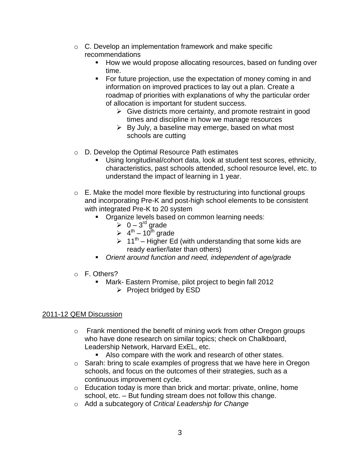- o C. Develop an implementation framework and make specific recommendations
	- How we would propose allocating resources, based on funding over time.
	- **For future projection, use the expectation of money coming in and** information on improved practices to lay out a plan. Create a roadmap of priorities with explanations of why the particular order of allocation is important for student success.
		- $\triangleright$  Give districts more certainty, and promote restraint in good times and discipline in how we manage resources
		- $\triangleright$  By July, a baseline may emerge, based on what most schools are cutting
- o D. Develop the Optimal Resource Path estimates
	- Using longitudinal/cohort data, look at student test scores, ethnicity, characteristics, past schools attended, school resource level, etc. to understand the impact of learning in 1 year.
- o E. Make the model more flexible by restructuring into functional groups and incorporating Pre-K and post-high school elements to be consistent with integrated Pre-K to 20 system
	- Organize levels based on common learning needs:
		- $\geqslant 0-3^{\text{rd}}$  grade
		- $\geq 4^{\text{th}} 10^{\text{th}}$  grade
		- $\geq 11^{th}$  Higher Ed (with understanding that some kids are ready earlier/later than others)
	- *Orient around function and need, independent of age/grade*
- o F. Others?
	- Mark- Eastern Promise, pilot project to begin fall 2012
		- $\triangleright$  Project bridged by ESD

# 2011-12 QEM Discussion

- $\circ$  Frank mentioned the benefit of mining work from other Oregon groups who have done research on similar topics; check on Chalkboard, Leadership Network, Harvard ExEL, etc.
	- Also compare with the work and research of other states.
- o Sarah: bring to scale examples of progress that we have here in Oregon schools, and focus on the outcomes of their strategies, such as a continuous improvement cycle.
- $\circ$  Education today is more than brick and mortar: private, online, home school, etc. – But funding stream does not follow this change.
- o Add a subcategory of *Critical Leadership for Change*